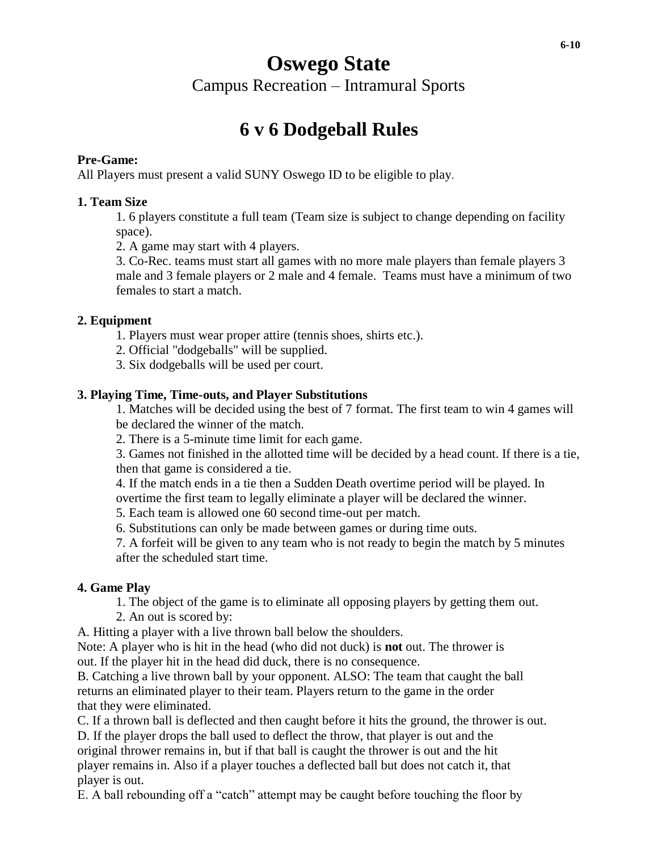# **Oswego State**  Campus Recreation – Intramural Sports

# **6 v 6 Dodgeball Rules**

## **Pre-Game:**

All Players must present a valid SUNY Oswego ID to be eligible to play.

## **1. Team Size**

1. 6 players constitute a full team (Team size is subject to change depending on facility space).

2. A game may start with 4 players.

3. Co-Rec. teams must start all games with no more male players than female players 3 male and 3 female players or 2 male and 4 female. Teams must have a minimum of two females to start a match.

## **2. Equipment**

- 1. Players must wear proper attire (tennis shoes, shirts etc.).
- 2. Official "dodgeballs" will be supplied.
- 3. Six dodgeballs will be used per court.

## **3. Playing Time, Time-outs, and Player Substitutions**

1. Matches will be decided using the best of 7 format. The first team to win 4 games will be declared the winner of the match.

2. There is a 5-minute time limit for each game.

3. Games not finished in the allotted time will be decided by a head count. If there is a tie, then that game is considered a tie.

4. If the match ends in a tie then a Sudden Death overtime period will be played. In overtime the first team to legally eliminate a player will be declared the winner.

5. Each team is allowed one 60 second time-out per match.

6. Substitutions can only be made between games or during time outs.

7. A forfeit will be given to any team who is not ready to begin the match by 5 minutes after the scheduled start time.

#### **4. Game Play**

1. The object of the game is to eliminate all opposing players by getting them out.

2. An out is scored by:

A. Hitting a player with a live thrown ball below the shoulders.

Note: A player who is hit in the head (who did not duck) is **not** out. The thrower is out. If the player hit in the head did duck, there is no consequence.

B. Catching a live thrown ball by your opponent. ALSO: The team that caught the ball returns an eliminated player to their team. Players return to the game in the order that they were eliminated.

C. If a thrown ball is deflected and then caught before it hits the ground, the thrower is out.

D. If the player drops the ball used to deflect the throw, that player is out and the original thrower remains in, but if that ball is caught the thrower is out and the hit player remains in. Also if a player touches a deflected ball but does not catch it, that player is out.

E. A ball rebounding off a "catch" attempt may be caught before touching the floor by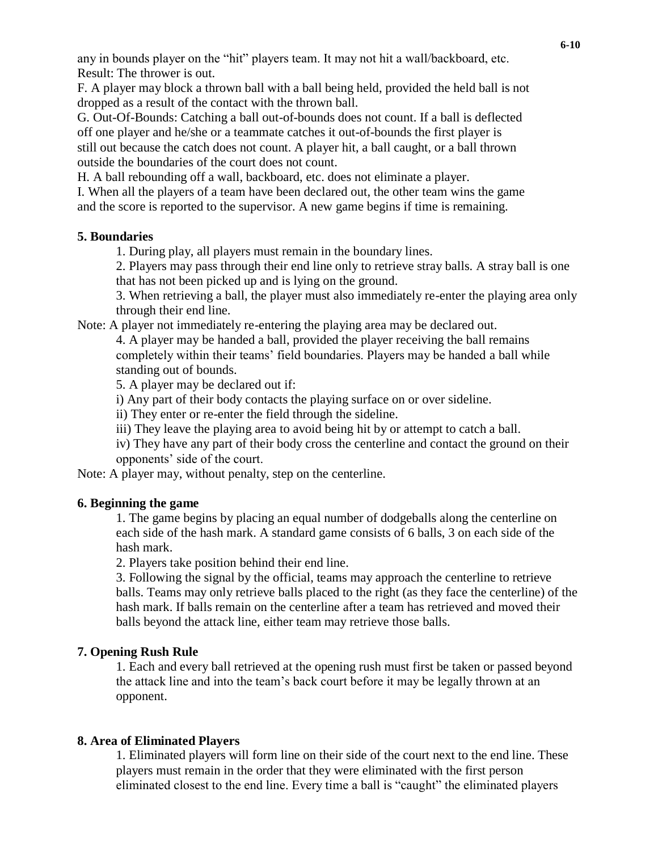any in bounds player on the "hit" players team. It may not hit a wall/backboard, etc. Result: The thrower is out.

F. A player may block a thrown ball with a ball being held, provided the held ball is not dropped as a result of the contact with the thrown ball.

G. Out-Of-Bounds: Catching a ball out-of-bounds does not count. If a ball is deflected off one player and he/she or a teammate catches it out-of-bounds the first player is still out because the catch does not count. A player hit, a ball caught, or a ball thrown outside the boundaries of the court does not count.

H. A ball rebounding off a wall, backboard, etc. does not eliminate a player.

I. When all the players of a team have been declared out, the other team wins the game and the score is reported to the supervisor. A new game begins if time is remaining.

## **5. Boundaries**

1. During play, all players must remain in the boundary lines.

2. Players may pass through their end line only to retrieve stray balls. A stray ball is one that has not been picked up and is lying on the ground.

3. When retrieving a ball, the player must also immediately re-enter the playing area only through their end line.

Note: A player not immediately re-entering the playing area may be declared out.

4. A player may be handed a ball, provided the player receiving the ball remains completely within their teams' field boundaries. Players may be handed a ball while standing out of bounds.

5. A player may be declared out if:

i) Any part of their body contacts the playing surface on or over sideline.

ii) They enter or re-enter the field through the sideline.

iii) They leave the playing area to avoid being hit by or attempt to catch a ball.

iv) They have any part of their body cross the centerline and contact the ground on their opponents' side of the court.

Note: A player may, without penalty, step on the centerline.

#### **6. Beginning the game**

1. The game begins by placing an equal number of dodgeballs along the centerline on each side of the hash mark. A standard game consists of 6 balls, 3 on each side of the hash mark.

2. Players take position behind their end line.

3. Following the signal by the official, teams may approach the centerline to retrieve balls. Teams may only retrieve balls placed to the right (as they face the centerline) of the hash mark. If balls remain on the centerline after a team has retrieved and moved their balls beyond the attack line, either team may retrieve those balls.

#### **7. Opening Rush Rule**

1. Each and every ball retrieved at the opening rush must first be taken or passed beyond the attack line and into the team's back court before it may be legally thrown at an opponent.

#### **8. Area of Eliminated Players**

1. Eliminated players will form line on their side of the court next to the end line. These players must remain in the order that they were eliminated with the first person eliminated closest to the end line. Every time a ball is "caught" the eliminated players